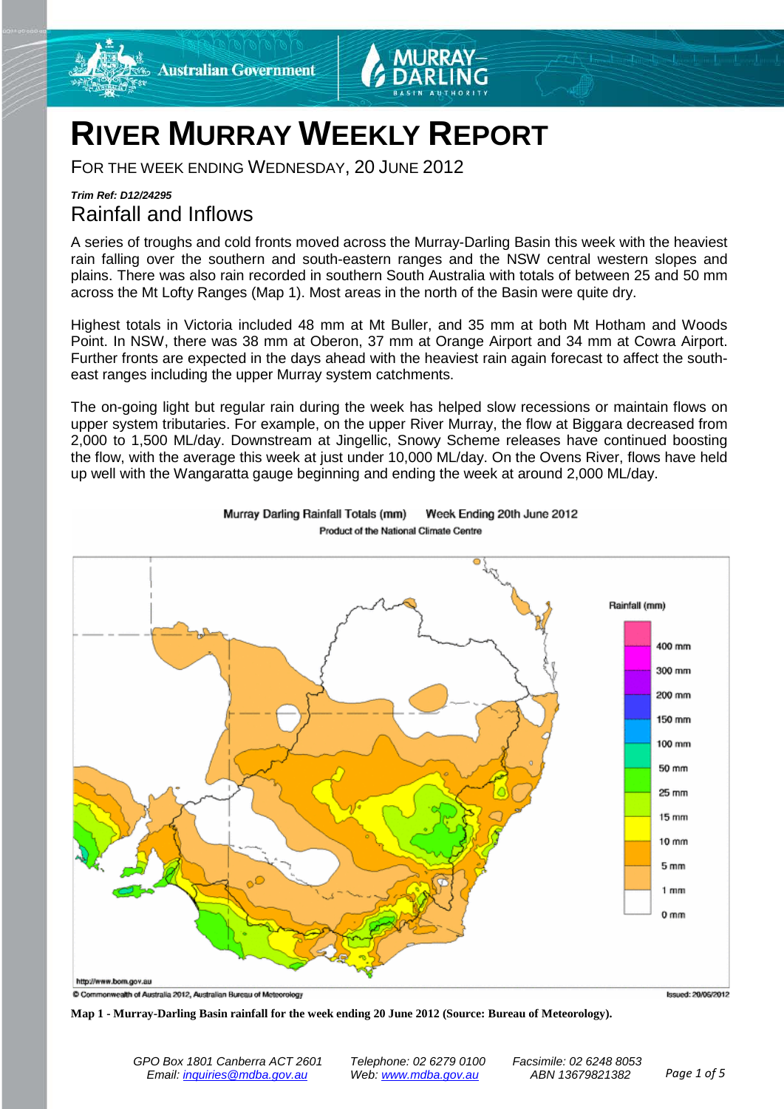

# **RIVER MURRAY WEEKLY REPORT**

FOR THE WEEK ENDING WEDNESDAY, 20 JUNE 2012

# *Trim Ref: D12/24295* Rainfall and Inflows

A series of troughs and cold fronts moved across the Murray-Darling Basin this week with the heaviest rain falling over the southern and south-eastern ranges and the NSW central western slopes and plains. There was also rain recorded in southern South Australia with totals of between 25 and 50 mm across the Mt Lofty Ranges (Map 1). Most areas in the north of the Basin were quite dry.

Highest totals in Victoria included 48 mm at Mt Buller, and 35 mm at both Mt Hotham and Woods Point. In NSW, there was 38 mm at Oberon, 37 mm at Orange Airport and 34 mm at Cowra Airport. Further fronts are expected in the days ahead with the heaviest rain again forecast to affect the southeast ranges including the upper Murray system catchments.

The on-going light but regular rain during the week has helped slow recessions or maintain flows on upper system tributaries. For example, on the upper River Murray, the flow at Biggara decreased from 2,000 to 1,500 ML/day. Downstream at Jingellic, Snowy Scheme releases have continued boosting the flow, with the average this week at just under 10,000 ML/day. On the Ovens River, flows have held up well with the Wangaratta gauge beginning and ending the week at around 2,000 ML/day.



Murray Darling Rainfall Totals (mm) Week Ending 20th June 2012 Product of the National Climate Centre

**Map 1 - Murray-Darling Basin rainfall for the week ending 20 June 2012 (Source: Bureau of Meteorology).**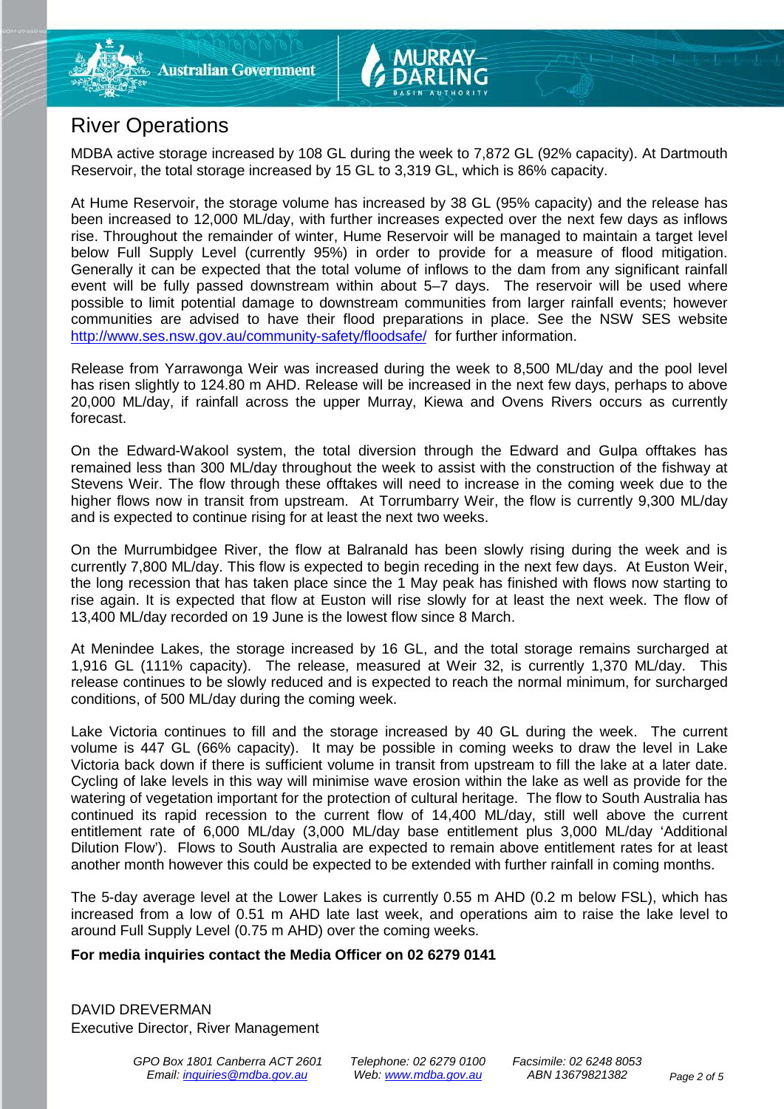

# River Operations

MDBA active storage increased by 108 GL during the week to 7,872 GL (92% capacity). At Dartmouth Reservoir, the total storage increased by 15 GL to 3,319 GL, which is 86% capacity.

At Hume Reservoir, the storage volume has increased by 38 GL (95% capacity) and the release has been increased to 12,000 ML/day, with further increases expected over the next few days as inflows rise. Throughout the remainder of winter, Hume Reservoir will be managed to maintain a target level below Full Supply Level (currently 95%) in order to provide for a measure of flood mitigation. Generally it can be expected that the total volume of inflows to the dam from any significant rainfall event will be fully passed downstream within about 5–7 days. The reservoir will be used where possible to limit potential damage to downstream communities from larger rainfall events; however communities are advised to have their flood preparations in place. See the NSW SES website <http://www.ses.nsw.gov.au/community-safety/floodsafe/>for further information.

Release from Yarrawonga Weir was increased during the week to 8,500 ML/day and the pool level has risen slightly to 124.80 m AHD. Release will be increased in the next few days, perhaps to above 20,000 ML/day, if rainfall across the upper Murray, Kiewa and Ovens Rivers occurs as currently forecast.

On the Edward-Wakool system, the total diversion through the Edward and Gulpa offtakes has remained less than 300 ML/day throughout the week to assist with the construction of the fishway at Stevens Weir. The flow through these offtakes will need to increase in the coming week due to the higher flows now in transit from upstream. At Torrumbarry Weir, the flow is currently 9,300 ML/day and is expected to continue rising for at least the next two weeks.

On the Murrumbidgee River, the flow at Balranald has been slowly rising during the week and is currently 7,800 ML/day. This flow is expected to begin receding in the next few days. At Euston Weir, the long recession that has taken place since the 1 May peak has finished with flows now starting to rise again. It is expected that flow at Euston will rise slowly for at least the next week. The flow of 13,400 ML/day recorded on 19 June is the lowest flow since 8 March.

At Menindee Lakes, the storage increased by 16 GL, and the total storage remains surcharged at 1,916 GL (111% capacity). The release, measured at Weir 32, is currently 1,370 ML/day. This release continues to be slowly reduced and is expected to reach the normal minimum, for surcharged conditions, of 500 ML/day during the coming week.

Lake Victoria continues to fill and the storage increased by 40 GL during the week. The current volume is 447 GL (66% capacity). It may be possible in coming weeks to draw the level in Lake Victoria back down if there is sufficient volume in transit from upstream to fill the lake at a later date. Cycling of lake levels in this way will minimise wave erosion within the lake as well as provide for the watering of vegetation important for the protection of cultural heritage. The flow to South Australia has continued its rapid recession to the current flow of 14,400 ML/day, still well above the current entitlement rate of 6,000 ML/day (3,000 ML/day base entitlement plus 3,000 ML/day 'Additional Dilution Flow'). Flows to South Australia are expected to remain above entitlement rates for at least another month however this could be expected to be extended with further rainfall in coming months.

The 5-day average level at the Lower Lakes is currently 0.55 m AHD (0.2 m below FSL), which has increased from a low of 0.51 m AHD late last week, and operations aim to raise the lake level to around Full Supply Level (0.75 m AHD) over the coming weeks.

#### **For media inquiries contact the Media Officer on 02 6279 0141**

DAVID DREVERMAN Executive Director, River Management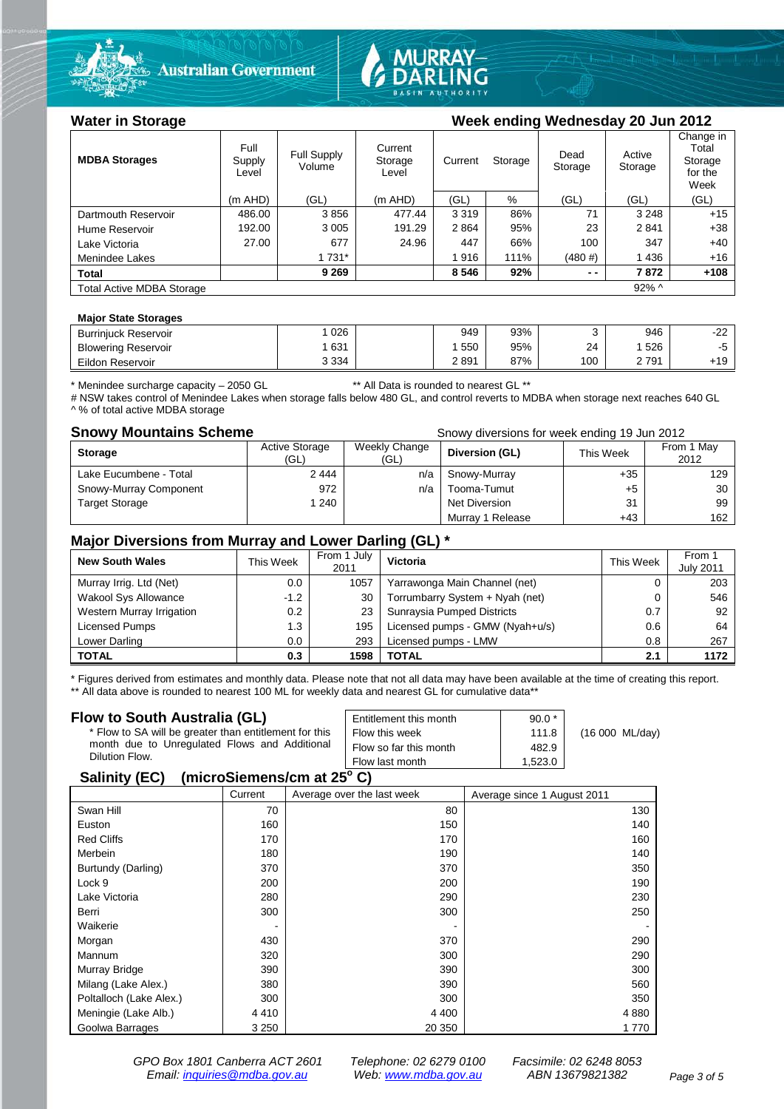

**Australian Government** 



### Water in Storage Week ending Wednesday 20 Jun 2012

| <b>MDBA Storages</b>                         | Full<br>Supply<br>Level | Current<br>Full Supply<br>Storage<br>Volume<br>Level |         | Current | Storage | Dead<br>Storage | Active<br>Storage | Change in<br>Total<br>Storage<br>for the<br>Week |
|----------------------------------------------|-------------------------|------------------------------------------------------|---------|---------|---------|-----------------|-------------------|--------------------------------------------------|
|                                              | (m AHD)                 | (GL)                                                 | (m AHD) | (GL)    | %       | (GL)            | (GL)              | (GL)                                             |
| Dartmouth Reservoir                          | 486.00                  | 3856                                                 | 477.44  | 3 3 1 9 | 86%     | 71              | 3 2 4 8           | $+15$                                            |
| Hume Reservoir                               | 192.00                  | 3 0 0 5                                              | 191.29  | 2864    | 95%     | 23              | 2841              | $+38$                                            |
| Lake Victoria                                | 27.00                   | 677                                                  | 24.96   | 447     | 66%     | 100             | 347               | $+40$                                            |
| Menindee Lakes                               |                         | 1 731*                                               |         | 1916    | 111%    | $(480 \#)$      | 1436              | $+16$                                            |
| <b>Total</b>                                 |                         | 9 2 6 9                                              |         | 8 5 4 6 | 92%     | $ -$            | 7872              | $+108$                                           |
| $92\%$ ^<br><b>Total Active MDBA Storage</b> |                         |                                                      |         |         |         |                 |                   |                                                  |

#### **Major State Storages**

| <b>Burriniuck Reservoir</b> | 026     | 949  | 93% |     | 946 | nn<br>- 1<br>∼ |
|-----------------------------|---------|------|-----|-----|-----|----------------|
| <b>Blowering Reservoir</b>  | 631     | 550  | 95% | 24  | 526 |                |
| Eildon Reservoir            | 3 3 3 4 | 2891 | 87% | 100 | 791 | +19            |

\* Menindee surcharge capacity – 2050 GL \*\* All Data is rounded to nearest GL \*\*

# NSW takes control of Menindee Lakes when storage falls below 480 GL, and control reverts to MDBA when storage next reaches 640 GL ^ % of total active MDBA storage

**Snowy Mountains Scheme Snowy diversions for week ending 19 Jun 2012** 

| <b>Storage</b>         | <b>Active Storage</b><br>(GL) | Weekly Change<br>(GL) | Diversion (GL)   | This Week | From 1 May<br>2012 |
|------------------------|-------------------------------|-----------------------|------------------|-----------|--------------------|
| Lake Eucumbene - Total | 2444                          | n/a                   | Snowy-Murray     | $+35$     | 129                |
| Snowy-Murray Component | 972                           | n/a                   | Tooma-Tumut      | +5        | 30                 |
| <b>Target Storage</b>  | 240                           |                       | Net Diversion    | 31        | 99                 |
|                        |                               |                       | Murray 1 Release | $+43$     | 162                |

### **Major Diversions from Murray and Lower Darling (GL) \***

| <b>New South Wales</b>      | This Week | From 1 July<br>2011 | Victoria                        | <b>This Week</b> | From 1<br><b>July 2011</b> |
|-----------------------------|-----------|---------------------|---------------------------------|------------------|----------------------------|
| Murray Irrig. Ltd (Net)     | 0.0       | 1057                | Yarrawonga Main Channel (net)   |                  | 203                        |
| <b>Wakool Sys Allowance</b> | $-1.2$    | 30                  | Torrumbarry System + Nyah (net) |                  | 546                        |
| Western Murray Irrigation   | 0.2       | 23                  | Sunraysia Pumped Districts      | 0.7              | 92                         |
| Licensed Pumps              | 1.3       | 195                 | Licensed pumps - GMW (Nyah+u/s) | 0.6              | 64                         |
| Lower Darling               | 0.0       | 293                 | Licensed pumps - LMW            | 0.8              | 267                        |
| <b>TOTAL</b>                | 0.3       | 1598                | TOTAL                           | 2.1              | 1172                       |

\* Figures derived from estimates and monthly data. Please note that not all data may have been available at the time of creating this report. \*\* All data above is rounded to nearest 100 ML for weekly data and nearest GL for cumulative data\*\*

#### **Flow to South Australia (GL)**

| <b>Flow to South Australia (GL)</b>                    | Entitlement this month | $90.0*$ |                 |
|--------------------------------------------------------|------------------------|---------|-----------------|
| * Flow to SA will be greater than entitlement for this | Flow this week         | 111.8   | (16 000 ML/day) |
| month due to Unregulated Flows and Additional          | Flow so far this month | 482.9   |                 |
| Dilution Flow.                                         | Flow last month        | 1.523.0 |                 |

# **Salinity (EC) (microSiemens/cm at 25o C)**

| . .                     | Current | Average over the last week | Average since 1 August 2011 |
|-------------------------|---------|----------------------------|-----------------------------|
| Swan Hill               | 70      | 80                         | 130                         |
| Euston                  | 160     | 150                        | 140                         |
| <b>Red Cliffs</b>       | 170     | 170                        | 160                         |
| Merbein                 | 180     | 190                        | 140                         |
| Burtundy (Darling)      | 370     | 370                        | 350                         |
| Lock 9                  | 200     | 200                        | 190                         |
| Lake Victoria           | 280     | 290                        | 230                         |
| Berri                   | 300     | 300                        | 250                         |
| Waikerie                | ٠       |                            |                             |
| Morgan                  | 430     | 370                        | 290                         |
| Mannum                  | 320     | 300                        | 290                         |
| Murray Bridge           | 390     | 390                        | 300                         |
| Milang (Lake Alex.)     | 380     | 390                        | 560                         |
| Poltalloch (Lake Alex.) | 300     | 300                        | 350                         |
| Meningie (Lake Alb.)    | 4410    | 4 4 0 0                    | 4 8 8 0                     |
| Goolwa Barrages         | 3 2 5 0 | 20 350                     | 1 7 7 0                     |

*GPO Box 1801 Canberra ACT 2601 Telephone: 02 6279 0100 Facsimile: 02 6248 8053 Email: [inquiries@mdba.gov.au](mailto:inquiries@mdba.gov.au) Web: [www.mdba.gov.au](http://www.mdba.gov.au/) ABN 13679821382 Page 3 of 5*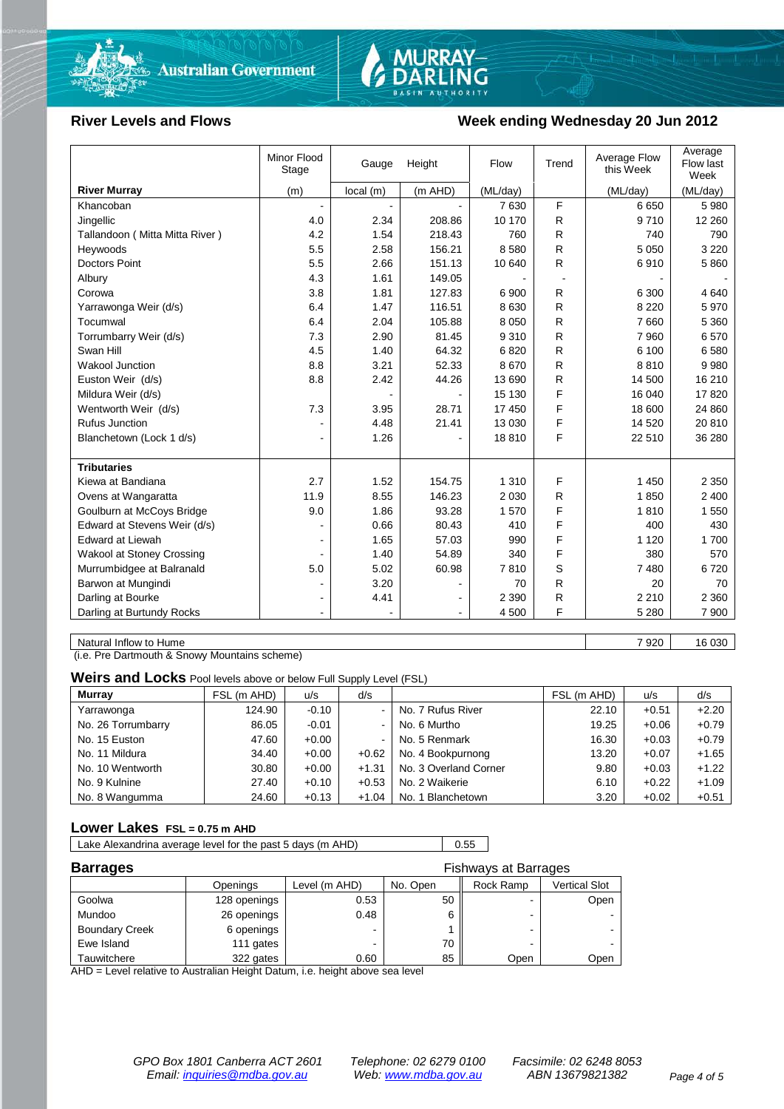



#### River Levels and Flows **Week ending Wednesday 20 Jun 2012**

|                                  | Minor Flood<br>Stage | Gauge    | Height  | Flow     | Trend | Average Flow<br>this Week | Average<br>Flow last<br>Week |
|----------------------------------|----------------------|----------|---------|----------|-------|---------------------------|------------------------------|
| <b>River Murray</b>              | (m)                  | local(m) | (m AHD) | (ML/day) |       | (ML/day)                  | (ML/day)                     |
| Khancoban                        |                      |          |         | 7630     | F     | 6650                      | 5 9 8 0                      |
| Jingellic                        | 4.0                  | 2.34     | 208.86  | 10 170   | R     | 9710                      | 12 260                       |
| Tallandoon (Mitta Mitta River)   | 4.2                  | 1.54     | 218.43  | 760      | R     | 740                       | 790                          |
| Heywoods                         | 5.5                  | 2.58     | 156.21  | 8580     | R     | 5 0 5 0                   | 3 2 2 0                      |
| <b>Doctors Point</b>             | 5.5                  | 2.66     | 151.13  | 10 640   | R.    | 6910                      | 5860                         |
| Albury                           | 4.3                  | 1.61     | 149.05  |          |       |                           |                              |
| Corowa                           | 3.8                  | 1.81     | 127.83  | 6 900    | R     | 6 300                     | 4640                         |
| Yarrawonga Weir (d/s)            | 6.4                  | 1.47     | 116.51  | 8 6 3 0  | R     | 8 2 2 0                   | 5970                         |
| Tocumwal                         | 6.4                  | 2.04     | 105.88  | 8 0 5 0  | R     | 7660                      | 5 3 6 0                      |
| Torrumbarry Weir (d/s)           | 7.3                  | 2.90     | 81.45   | 9310     | R     | 7 9 6 0                   | 6570                         |
| Swan Hill                        | 4.5                  | 1.40     | 64.32   | 6820     | R     | 6 100                     | 6580                         |
| Wakool Junction                  | 8.8                  | 3.21     | 52.33   | 8670     | R     | 8810                      | 9980                         |
| Euston Weir (d/s)                | 8.8                  | 2.42     | 44.26   | 13 690   | R     | 14 500                    | 16 210                       |
| Mildura Weir (d/s)               |                      |          |         | 15 130   | F     | 16 040                    | 17820                        |
| Wentworth Weir (d/s)             | 7.3                  | 3.95     | 28.71   | 17 450   | F     | 18 600                    | 24 860                       |
| <b>Rufus Junction</b>            |                      | 4.48     | 21.41   | 13 0 30  | F     | 14 5 20                   | 20 810                       |
| Blanchetown (Lock 1 d/s)         | $\blacksquare$       | 1.26     |         | 18810    | F     | 22 510                    | 36 280                       |
| <b>Tributaries</b>               |                      |          |         |          |       |                           |                              |
| Kiewa at Bandiana                | 2.7                  | 1.52     | 154.75  | 1 3 1 0  | F     | 1 4 5 0                   | 2 3 5 0                      |
| Ovens at Wangaratta              | 11.9                 | 8.55     | 146.23  | 2 0 3 0  | R     | 1850                      | 2 400                        |
| Goulburn at McCoys Bridge        | 9.0                  | 1.86     | 93.28   | 1570     | F     | 1810                      | 1 550                        |
| Edward at Stevens Weir (d/s)     |                      | 0.66     | 80.43   | 410      | F     | 400                       | 430                          |
| <b>Edward at Liewah</b>          |                      | 1.65     | 57.03   | 990      | F     | 1 1 2 0                   | 1700                         |
| <b>Wakool at Stoney Crossing</b> |                      | 1.40     | 54.89   | 340      | F     | 380                       | 570                          |
| Murrumbidgee at Balranald        | 5.0                  | 5.02     | 60.98   | 7810     | S     | 7480                      | 6720                         |
| Barwon at Mungindi               |                      | 3.20     |         | 70       | R     | 20                        | 70                           |
| Darling at Bourke                | $\blacksquare$       | 4.41     |         | 2 3 9 0  | R     | 2 2 1 0                   | 2 3 6 0                      |
| Darling at Burtundy Rocks        |                      |          |         | 4 500    | F     | 5 2 8 0                   | 7 900                        |
|                                  |                      |          |         |          |       |                           |                              |

Natural Inflow to Hume 7 920 16 030

(i.e. Pre Dartmouth & Snowy Mountains scheme)

**Weirs and Locks** Pool levels above or below Full Supply Level (FSL)

| <b>Murray</b>      | FSL (m AHD) | u/s     | d/s            |                       | FSL (m AHD) | u/s     | d/s     |
|--------------------|-------------|---------|----------------|-----------------------|-------------|---------|---------|
| Yarrawonga         | 124.90      | $-0.10$ | $\sim$         | No. 7 Rufus River     | 22.10       | $+0.51$ | $+2.20$ |
| No. 26 Torrumbarry | 86.05       | $-0.01$ | $\sim$         | No. 6 Murtho          | 19.25       | $+0.06$ | $+0.79$ |
| No. 15 Euston      | 47.60       | $+0.00$ | $\blacksquare$ | No. 5 Renmark         | 16.30       | $+0.03$ | $+0.79$ |
| No. 11 Mildura     | 34.40       | $+0.00$ | $+0.62$        | No. 4 Bookpurnong     | 13.20       | $+0.07$ | $+1.65$ |
| No. 10 Wentworth   | 30.80       | $+0.00$ | $+1.31$        | No. 3 Overland Corner | 9.80        | $+0.03$ | $+1.22$ |
| No. 9 Kulnine      | 27.40       | $+0.10$ | $+0.53$        | No. 2 Waikerie        | 6.10        | $+0.22$ | $+1.09$ |
| No. 8 Wangumma     | 24.60       | $+0.13$ | $+1.04$        | No. 1 Blanchetown     | 3.20        | $+0.02$ | $+0.51$ |

#### **Lower Lakes FSL = 0.75 m AHD**

Lake Alexandrina average level for the past 5 days (m AHD) 0.55

| <b>Barrages</b><br>Fishways at Barrages |              |               |          |           |               |  |
|-----------------------------------------|--------------|---------------|----------|-----------|---------------|--|
|                                         | Openings     | Level (m AHD) | No. Open | Rock Ramp | Vertical Slot |  |
| Goolwa                                  | 128 openings | 0.53          | 50       |           | Open          |  |
| Mundoo                                  | 26 openings  | 0.48          |          | -         |               |  |
| <b>Boundary Creek</b>                   | 6 openings   | -             |          |           |               |  |
| Ewe Island                              | 111 gates    |               | 70       |           |               |  |
| Tauwitchere                             | 322 gates    | 0.60          | 85       | Open      | Open          |  |

AHD = Level relative to Australian Height Datum, i.e. height above sea level